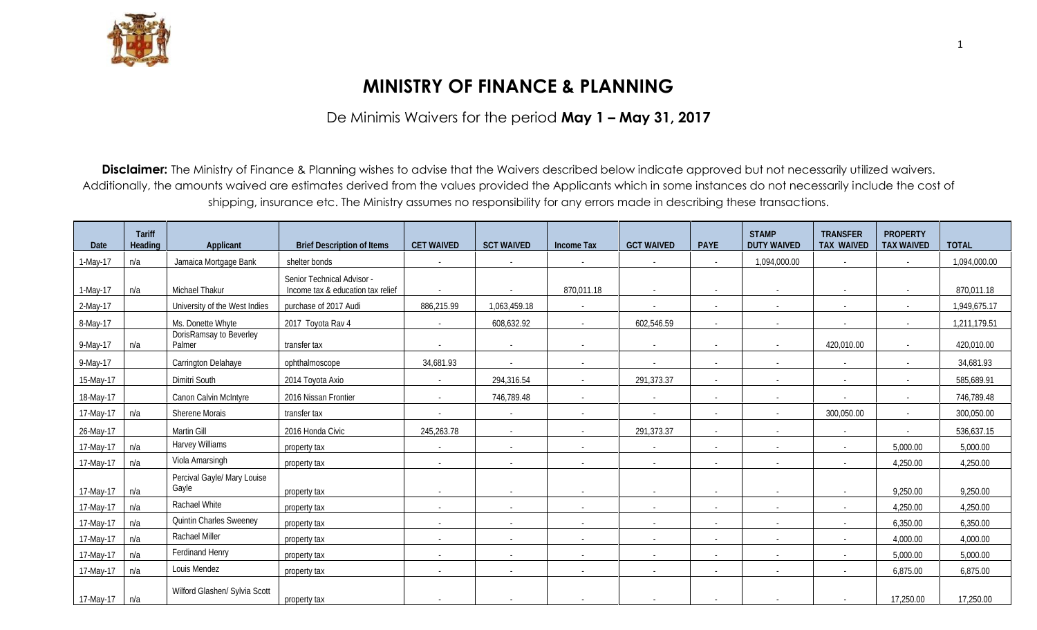

## **MINISTRY OF FINANCE & PLANNING**

De Minimis Waivers for the period **May 1 – May 31, 2017**

**Disclaimer:** The Ministry of Finance & Planning wishes to advise that the Waivers described below indicate approved but not necessarily utilized waivers. Additionally, the amounts waived are estimates derived from the values provided the Applicants which in some instances do not necessarily include the cost of shipping, insurance etc. The Ministry assumes no responsibility for any errors made in describing these transactions.

|           | <b>Tariff</b>  |                                      |                                   |                          |                          |                          |                          |                          | <b>STAMP</b>             | <b>TRANSFER</b>          | <b>PROPERTY</b>          |              |
|-----------|----------------|--------------------------------------|-----------------------------------|--------------------------|--------------------------|--------------------------|--------------------------|--------------------------|--------------------------|--------------------------|--------------------------|--------------|
| Date      | <b>Heading</b> | <b>Applicant</b>                     | <b>Brief Description of Items</b> | <b>CET WAIVED</b>        | <b>SCT WAIVED</b>        | <b>Income Tax</b>        | <b>GCT WAIVED</b>        | <b>PAYE</b>              | <b>DUTY WAIVED</b>       | <b>TAX WAIVED</b>        | <b>TAX WAIVED</b>        | <b>TOTAL</b> |
| 1-May-17  | n/a            | Jamaica Mortgage Bank                | shelter bonds                     |                          | $\blacksquare$           | $\sim$                   |                          | $\sim$                   | 1,094,000.00             | $\overline{\phantom{a}}$ | $\sim$                   | 1,094,000.00 |
|           |                |                                      | Senior Technical Advisor -        |                          |                          |                          |                          |                          |                          |                          |                          |              |
| 1-May-17  | n/a            | Michael Thakur                       | Income tax & education tax relief |                          |                          | 870,011.18               | $\sim$                   | $\overline{\phantom{a}}$ | $\overline{\phantom{a}}$ | $\overline{\phantom{a}}$ | $\overline{\phantom{a}}$ | 870,011.18   |
| 2-May-17  |                | University of the West Indies        | purchase of 2017 Audi             | 886,215.99               | 1,063,459.18             | $\blacksquare$           |                          | $\overline{\phantom{a}}$ | $\blacksquare$           | $\sim$                   | $\overline{\phantom{a}}$ | 1,949,675.17 |
| 8-May-17  |                | Ms. Donette Whyte                    | 2017 Toyota Rav 4                 |                          | 608,632.92               | $\overline{\phantom{a}}$ | 602,546.59               | $\overline{\phantom{a}}$ | $\overline{\phantom{a}}$ |                          | $\overline{\phantom{a}}$ | 1,211,179.51 |
| 9-May-17  | n/a            | DorisRamsay to Beverley<br>Palmer    | transfer tax                      |                          | $\blacksquare$           | $\overline{\phantom{0}}$ | $\overline{\phantom{a}}$ | $\overline{\phantom{a}}$ | $\overline{\phantom{0}}$ | 420,010.00               | $\blacksquare$           | 420,010.00   |
| 9-May-17  |                | Carrington Delahaye                  | ophthalmoscope                    | 34,681.93                | $\blacksquare$           | $\overline{\phantom{a}}$ |                          | $\overline{\phantom{a}}$ | $\overline{\phantom{a}}$ | $\blacksquare$           | $\blacksquare$           | 34,681.93    |
| 15-May-17 |                | Dimitri South                        | 2014 Toyota Axio                  |                          | 294,316.54               |                          | 291,373.37               | $\overline{\phantom{a}}$ | $\overline{\phantom{a}}$ |                          | $\blacksquare$           | 585,689.91   |
| 18-May-17 |                | Canon Calvin McIntyre                | 2016 Nissan Frontier              | $\overline{a}$           | 746,789.48               | $\blacksquare$           |                          | $\overline{\phantom{a}}$ | $\overline{\phantom{a}}$ | $\blacksquare$           | $\overline{\phantom{a}}$ | 746,789.48   |
| 17-May-17 | n/a            | <b>Sherene Morais</b>                | transfer tax                      |                          | $\overline{\phantom{a}}$ | $\overline{\phantom{a}}$ | $\overline{\phantom{a}}$ | $\overline{\phantom{a}}$ | $\sim$                   | 300,050.00               | $\overline{\phantom{a}}$ | 300,050.00   |
| 26-May-17 |                | Martin Gill                          | 2016 Honda Civic                  | 245,263.78               | $\sim$                   | $\overline{a}$           | 291,373.37               | $\sim$                   | $\blacksquare$           | $\overline{\phantom{a}}$ | $\blacksquare$           | 536,637.15   |
| 17-May-17 | n/a            | <b>Harvey Williams</b>               | property tax                      | $\overline{\phantom{a}}$ | $\overline{\phantom{a}}$ |                          | $\overline{\phantom{a}}$ | $\overline{\phantom{a}}$ | $\overline{\phantom{a}}$ | $\overline{\phantom{a}}$ | 5,000.00                 | 5,000.00     |
| 17-May-17 | n/a            | Viola Amarsingh                      | property tax                      | $\sim$                   | $\blacksquare$           | $\overline{\phantom{a}}$ | $\blacksquare$           | $\overline{\phantom{a}}$ | $\overline{\phantom{a}}$ | $\overline{\phantom{a}}$ | 4,250.00                 | 4,250.00     |
|           |                | Percival Gayle/ Mary Louise<br>Gayle |                                   |                          |                          |                          |                          |                          |                          |                          |                          |              |
| 17-May-17 | n/a            |                                      | property tax                      | $\sim$                   | $\overline{\phantom{a}}$ | $\blacksquare$           | $\overline{\phantom{a}}$ | $\overline{\phantom{a}}$ | $\overline{\phantom{a}}$ | $\overline{\phantom{a}}$ | 9,250.00                 | 9,250.00     |
| 17-May-17 | n/a            | Rachael White                        | property tax                      | $\sim$                   | $\blacksquare$           | $\sim$                   | $\overline{\phantom{a}}$ | $\sim$                   | $\sim$                   | $\sim$                   | 4,250.00                 | 4,250.00     |
| 17-May-17 | n/a            | <b>Quintin Charles Sweeney</b>       | property tax                      |                          | $\blacksquare$           | $\overline{a}$           | $\overline{\phantom{a}}$ | $\overline{\phantom{a}}$ | $\overline{\phantom{a}}$ | $\overline{\phantom{a}}$ | 6,350.00                 | 6,350.00     |
| 17-May-17 | n/a            | Rachael Miller                       | property tax                      | $\sim$                   | $\blacksquare$           | $\sim$                   | $\overline{\phantom{a}}$ | $\sim$                   | $\blacksquare$           | $\overline{\phantom{a}}$ | 4,000.00                 | 4,000.00     |
| 17-May-17 | n/a            | Ferdinand Henry                      | property tax                      |                          | $\blacksquare$           | $\overline{\phantom{a}}$ | $\overline{\phantom{a}}$ | $\overline{\phantom{a}}$ | $\blacksquare$           | $\overline{\phantom{a}}$ | 5,000.00                 | 5,000.00     |
| 17-May-17 | n/a            | Louis Mendez                         | property tax                      | $\overline{\phantom{0}}$ | $\blacksquare$           | $\overline{\phantom{a}}$ | $\overline{\phantom{a}}$ | $\overline{\phantom{a}}$ | $\overline{\phantom{a}}$ | $\overline{\phantom{a}}$ | 6,875.00                 | 6,875.00     |
| 17-May-17 | n/a            | Wilford Glashen/ Sylvia Scott        | property tax                      | $\overline{\phantom{0}}$ | $\overline{\phantom{a}}$ | $\overline{\phantom{a}}$ | $\overline{\phantom{a}}$ | $\sim$                   | $\overline{\phantom{a}}$ | $\overline{\phantom{a}}$ | 17,250.00                | 17,250.00    |